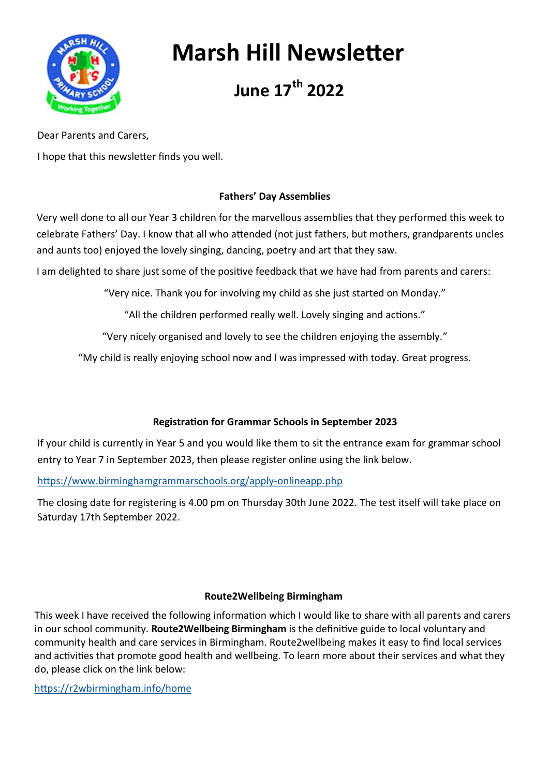

# **Marsh Hill Newsletter**

# **June 17th 2022**

Dear Parents and Carers,

I hope that this newsletter finds you well.

## **Fathers' Day Assemblies**

Very well done to all our Year 3 children for the marvellous assemblies that they performed this week to celebrate Fathers' Day. I know that all who attended (not just fathers, but mothers, grandparents uncles and aunts too) enjoyed the lovely singing, dancing, poetry and art that they saw.

I am delighted to share just some of the positive feedback that we have had from parents and carers:

"Very nice. Thank you for involving my child as she just started on Monday."

"All the children performed really well. Lovely singing and actions."

"Very nicely organised and lovely to see the children enjoying the assembly."

"My child is really enjoying school now and I was impressed with today. Great progress.

### **Registration for Grammar Schools in September 2023**

If your child is currently in Year 5 and you would like them to sit the entrance exam for grammar school entry to Year 7 in September 2023, then please register online using the link below.

[https://www.birminghamgrammarschools.org/apply](https://www.birminghamgrammarschools.org/apply-onlineapp.php)-onlineapp.php

The closing date for registering is 4.00 pm on Thursday 30th June 2022. The test itself will take place on Saturday 17th September 2022.

### **Route2Wellbeing Birmingham**

This week I have received the following information which I would like to share with all parents and carers in our school community. **Route2Wellbeing Birmingham** is the definitive guide to local voluntary and community health and care services in Birmingham. Route2wellbeing makes it easy to find local services and activities that promote good health and wellbeing. To learn more about their services and what they do, please click on the link below:

<https://r2wbirmingham.info/home>